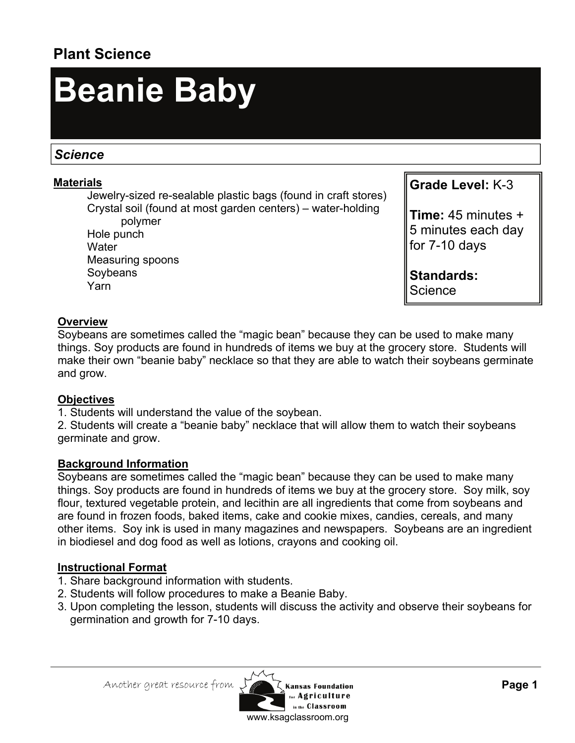## **Plant Science**

# **Beanie Baby**

### *Science*

#### **Materials**

 Jewelry-sized re-sealable plastic bags (found in craft stores) Crystal soil (found at most garden centers) – water-holding polymer

 Hole punch **Water**  Measuring spoons Soybeans Yarn

**Grade Level:** K-3

**Time:** 45 minutes + 5 minutes each day for 7-10 days

**Standards: Science** 

#### **Overview**

Soybeans are sometimes called the "magic bean" because they can be used to make many things. Soy products are found in hundreds of items we buy at the grocery store. Students will make their own "beanie baby" necklace so that they are able to watch their soybeans germinate and grow.

#### **Objectives**

1. Students will understand the value of the soybean.

2. Students will create a "beanie baby" necklace that will allow them to watch their soybeans germinate and grow.

#### **Background Information**

Soybeans are sometimes called the "magic bean" because they can be used to make many things. Soy products are found in hundreds of items we buy at the grocery store. Soy milk, soy flour, textured vegetable protein, and lecithin are all ingredients that come from soybeans and are found in frozen foods, baked items, cake and cookie mixes, candies, cereals, and many other items. Soy ink is used in many magazines and newspapers. Soybeans are an ingredient in biodiesel and dog food as well as lotions, crayons and cooking oil.

#### **Instructional Format**

- 1. Share background information with students.
- 2. Students will follow procedures to make a Beanie Baby.
- 3. Upon completing the lesson, students will discuss the activity and observe their soybeans for germination and growth for 7-10 days.